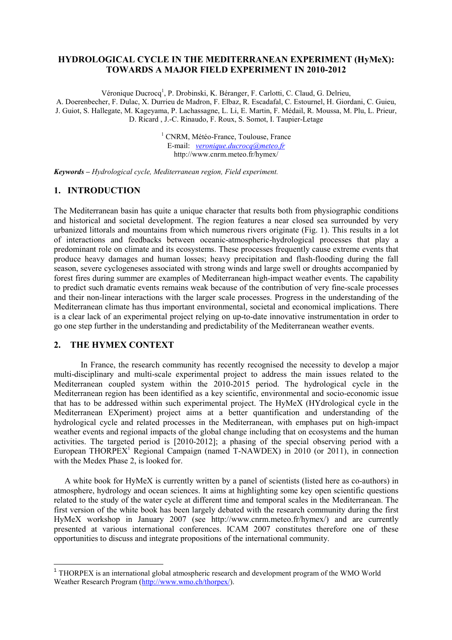# HYDROLOGICAL CYCLE IN THE MEDITERRANEAN EXPERIMENT (HyMeX): TOWARDS A MAJOR FIELD EXPERIMENT IN 2010-2012

Véronique Ducrocq<sup>1</sup>, P. Drobinski, K. Béranger, F. Carlotti, C. Claud, G. Delrieu, A. Doerenbecher, F. Dulac, X. Durrieu de Madron, F. Elbaz, R. Escadafal, C. Estournel, H. Giordani, C. Guieu, J. Guiot, S. Hallegate, M. Kageyama, P. Lachassagne, L. Li, E. Martin, F. Médail, R. Moussa, M. Plu, L. Prieur, D. Ricard , J.-C. Rinaudo, F. Roux, S. Somot, I. Taupier-Letage

> <sup>1</sup> CNRM, Météo-France, Toulouse, France E-mail: veronique.ducrocq@meteo.fr http://www.cnrm.meteo.fr/hymex/

Keywords – Hydrological cycle, Mediterranean region, Field experiment.

#### 1. INTRODUCTION

The Mediterranean basin has quite a unique character that results both from physiographic conditions and historical and societal development. The region features a near closed sea surrounded by very urbanized littorals and mountains from which numerous rivers originate (Fig. 1). This results in a lot of interactions and feedbacks between oceanic-atmospheric-hydrological processes that play a predominant role on climate and its ecosystems. These processes frequently cause extreme events that produce heavy damages and human losses; heavy precipitation and flash-flooding during the fall season, severe cyclogeneses associated with strong winds and large swell or droughts accompanied by forest fires during summer are examples of Mediterranean high-impact weather events. The capability to predict such dramatic events remains weak because of the contribution of very fine-scale processes and their non-linear interactions with the larger scale processes. Progress in the understanding of the Mediterranean climate has thus important environmental, societal and economical implications. There is a clear lack of an experimental project relying on up-to-date innovative instrumentation in order to go one step further in the understanding and predictability of the Mediterranean weather events.

## 2. THE HYMEX CONTEXT

In France, the research community has recently recognised the necessity to develop a major multi-disciplinary and multi-scale experimental project to address the main issues related to the Mediterranean coupled system within the 2010-2015 period. The hydrological cycle in the Mediterranean region has been identified as a key scientific, environmental and socio-economic issue that has to be addressed within such experimental project. The HyMeX (HYdrological cycle in the Mediterranean EXperiment) project aims at a better quantification and understanding of the hydrological cycle and related processes in the Mediterranean, with emphases put on high-impact weather events and regional impacts of the global change including that on ecosystems and the human activities. The targeted period is [2010-2012]; a phasing of the special observing period with a European THORPEX<sup>1</sup> Regional Campaign (named T-NAWDEX) in 2010 (or 2011), in connection with the Medex Phase 2, is looked for.

 A white book for HyMeX is currently written by a panel of scientists (listed here as co-authors) in atmosphere, hydrology and ocean sciences. It aims at highlighting some key open scientific questions related to the study of the water cycle at different time and temporal scales in the Mediterranean. The first version of the white book has been largely debated with the research community during the first HyMeX workshop in January 2007 (see http://www.cnrm.meteo.fr/hymex/) and are currently presented at various international conferences. ICAM 2007 constitutes therefore one of these opportunities to discuss and integrate propositions of the international community.

<sup>&</sup>lt;sup>1</sup> THORPEX is an international global atmospheric research and development program of the WMO World Weather Research Program (http://www.wmo.ch/thorpex/).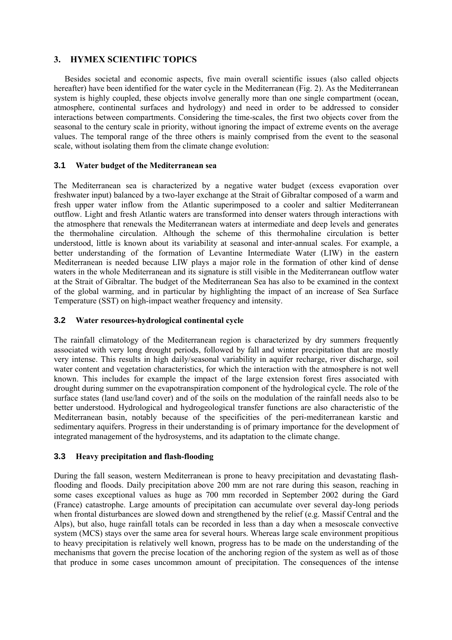## 3. HYMEX SCIENTIFIC TOPICS

Besides societal and economic aspects, five main overall scientific issues (also called objects hereafter) have been identified for the water cycle in the Mediterranean (Fig. 2). As the Mediterranean system is highly coupled, these objects involve generally more than one single compartment (ocean, atmosphere, continental surfaces and hydrology) and need in order to be addressed to consider interactions between compartments. Considering the time-scales, the first two objects cover from the seasonal to the century scale in priority, without ignoring the impact of extreme events on the average values. The temporal range of the three others is mainly comprised from the event to the seasonal scale, without isolating them from the climate change evolution:

#### **3.1** Water budget of the Mediterranean sea

The Mediterranean sea is characterized by a negative water budget (excess evaporation over freshwater input) balanced by a two-layer exchange at the Strait of Gibraltar composed of a warm and fresh upper water inflow from the Atlantic superimposed to a cooler and saltier Mediterranean outflow. Light and fresh Atlantic waters are transformed into denser waters through interactions with the atmosphere that renewals the Mediterranean waters at intermediate and deep levels and generates the thermohaline circulation. Although the scheme of this thermohaline circulation is better understood, little is known about its variability at seasonal and inter-annual scales. For example, a better understanding of the formation of Levantine Intermediate Water (LIW) in the eastern Mediterranean is needed because LIW plays a major role in the formation of other kind of dense waters in the whole Mediterranean and its signature is still visible in the Mediterranean outflow water at the Strait of Gibraltar. The budget of the Mediterranean Sea has also to be examined in the context of the global warming, and in particular by highlighting the impact of an increase of Sea Surface Temperature (SST) on high-impact weather frequency and intensity.

#### **3.2** Water resources-hydrological continental cycle

The rainfall climatology of the Mediterranean region is characterized by dry summers frequently associated with very long drought periods, followed by fall and winter precipitation that are mostly very intense. This results in high daily/seasonal variability in aquifer recharge, river discharge, soil water content and vegetation characteristics, for which the interaction with the atmosphere is not well known. This includes for example the impact of the large extension forest fires associated with drought during summer on the evapotranspiration component of the hydrological cycle. The role of the surface states (land use/land cover) and of the soils on the modulation of the rainfall needs also to be better understood. Hydrological and hydrogeological transfer functions are also characteristic of the Mediterranean basin, notably because of the specificities of the peri-mediterranean karstic and sedimentary aquifers. Progress in their understanding is of primary importance for the development of integrated management of the hydrosystems, and its adaptation to the climate change.

### **3.3** Heavy precipitation and flash-flooding

During the fall season, western Mediterranean is prone to heavy precipitation and devastating flashflooding and floods. Daily precipitation above 200 mm are not rare during this season, reaching in some cases exceptional values as huge as 700 mm recorded in September 2002 during the Gard (France) catastrophe. Large amounts of precipitation can accumulate over several day-long periods when frontal disturbances are slowed down and strengthened by the relief (e.g. Massif Central and the Alps), but also, huge rainfall totals can be recorded in less than a day when a mesoscale convective system (MCS) stays over the same area for several hours. Whereas large scale environment propitious to heavy precipitation is relatively well known, progress has to be made on the understanding of the mechanisms that govern the precise location of the anchoring region of the system as well as of those that produce in some cases uncommon amount of precipitation. The consequences of the intense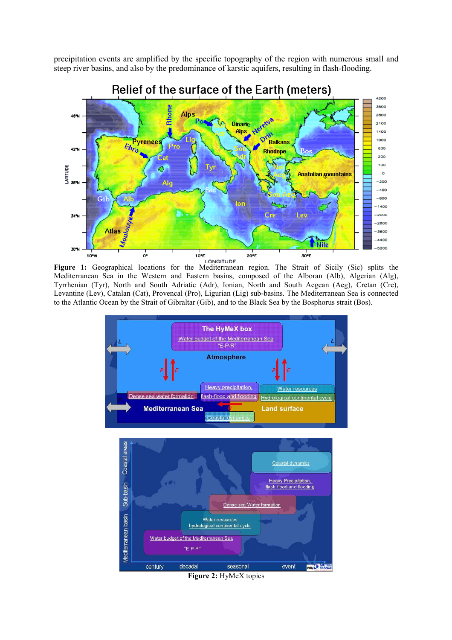precipitation events are amplified by the specific topography of the region with numerous small and steep river basins, and also by the predominance of karstic aquifers, resulting in flash-flooding.



Figure 1: Geographical locations for the Mediterranean region. The Strait of Sicily (Sic) splits the Mediterranean Sea in the Western and Eastern basins, composed of the Alboran (Alb), Algerian (Alg), Tyrrhenian (Tyr), North and South Adriatic (Adr), Ionian, North and South Aegean (Aeg), Cretan (Cre), Levantine (Lev), Catalan (Cat), Provencal (Pro), Ligurian (Lig) sub-basins. The Mediterranean Sea is connected to the Atlantic Ocean by the Strait of Gibraltar (Gib), and to the Black Sea by the Bosphorus strait (Bos).



Figure 2: HyMeX topics